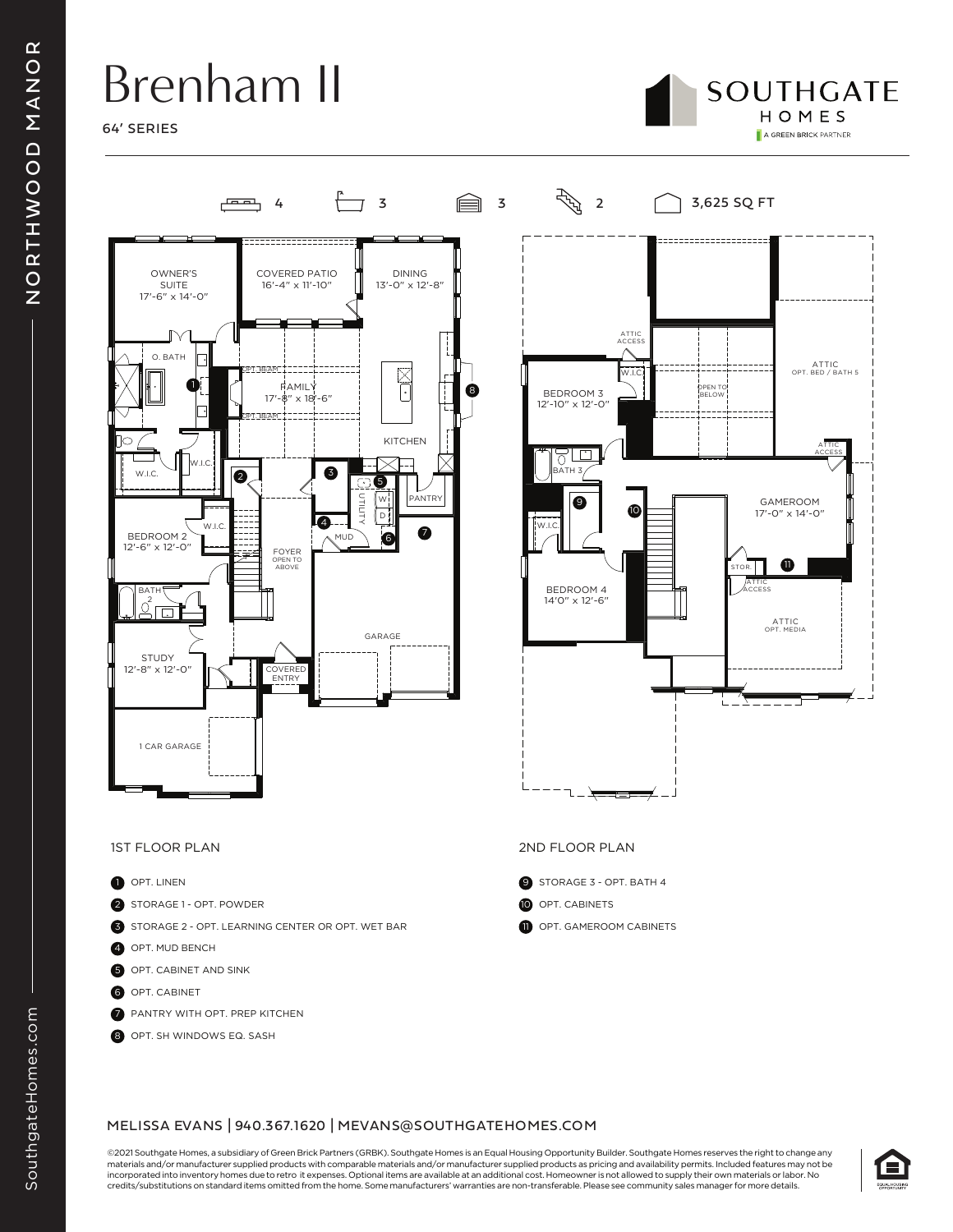## Brenham II









- **D** OPT. LINEN
- 2 STORAGE 1 OPT. POWDER
- 3 STORAGE 2 OPT. LEARNING CENTER OR OPT. WET BAR
- 4 OPT. MUD BENCH
- **5** OPT. CABINET AND SINK
- **6** OPT. CABINET
- 7 PANTRY WITH OPT. PREP KITCHEN
- 8 OPT. SH WINDOWS EQ. SASH

### 1ST FLOOR PLAN 2ND FLOOR PLAN

- 9 STORAGE 3 OPT. BATH 4
- **10** OPT. CABINETS
- **11** OPT. GAMEROOM CABINETS

©2021 Southgate Homes, a subsidiary of Green Brick Partners (GRBK). Southgate Homes is an Equal Housing Opportunity Builder. Southgate Homes reserves the right to change any materials and/or manufacturer supplied products with comparable materials and/or manufacturer supplied products as pricing and availability permits. Included features may not be incorporated into inventory homes due to retro it expenses. Optional items are available at an additional cost. Homeowner is not allowed to supply their own materials or labor. No credits/substitutions on standard items omitted from the home. Some manufacturers' warranties are non-transferable. Please see community sales manager for more details.